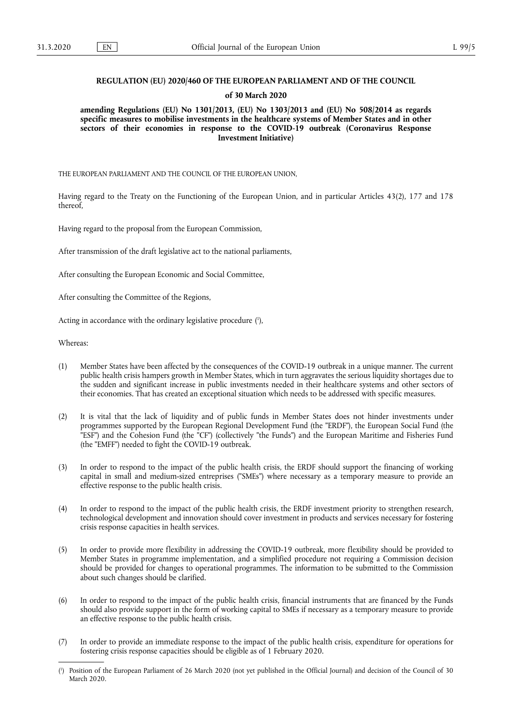## **REGULATION (EU) 2020/460 OF THE EUROPEAN PARLIAMENT AND OF THE COUNCIL**

### **of 30 March 2020**

**amending Regulations (EU) No 1301/2013, (EU) No 1303/2013 and (EU) No 508/2014 as regards specific measures to mobilise investments in the healthcare systems of Member States and in other sectors of their economies in response to the COVID-19 outbreak (Coronavirus Response Investment Initiative)** 

THE EUROPEAN PARLIAMENT AND THE COUNCIL OF THE EUROPEAN UNION,

Having regard to the Treaty on the Functioning of the European Union, and in particular Articles 43(2), 177 and 178 thereof,

Having regard to the proposal from the European Commission,

After transmission of the draft legislative act to the national parliaments,

After consulting the European Economic and Social Committee,

After consulting the Committee of the Regions,

<span id="page-0-1"></span>Acting in accordance with the ordinary legislative procedure ( 1 [\),](#page-0-0)

Whereas:

- (1) Member States have been affected by the consequences of the COVID-19 outbreak in a unique manner. The current public health crisis hampers growth in Member States, which in turn aggravates the serious liquidity shortages due to the sudden and significant increase in public investments needed in their healthcare systems and other sectors of their economies. That has created an exceptional situation which needs to be addressed with specific measures.
- (2) It is vital that the lack of liquidity and of public funds in Member States does not hinder investments under programmes supported by the European Regional Development Fund (the "ERDF"), the European Social Fund (the "ESF") and the Cohesion Fund (the "CF") (collectively "the Funds") and the European Maritime and Fisheries Fund (the "EMFF") needed to fight the COVID-19 outbreak.
- (3) In order to respond to the impact of the public health crisis, the ERDF should support the financing of working capital in small and medium-sized entreprises ("SMEs") where necessary as a temporary measure to provide an effective response to the public health crisis.
- (4) In order to respond to the impact of the public health crisis, the ERDF investment priority to strengthen research, technological development and innovation should cover investment in products and services necessary for fostering crisis response capacities in health services.
- (5) In order to provide more flexibility in addressing the COVID-19 outbreak, more flexibility should be provided to Member States in programme implementation, and a simplified procedure not requiring a Commission decision should be provided for changes to operational programmes. The information to be submitted to the Commission about such changes should be clarified.
- (6) In order to respond to the impact of the public health crisis, financial instruments that are financed by the Funds should also provide support in the form of working capital to SMEs if necessary as a temporary measure to provide an effective response to the public health crisis.
- (7) In order to provide an immediate response to the impact of the public health crisis, expenditure for operations for fostering crisis response capacities should be eligible as of 1 February 2020.

<span id="page-0-0"></span>[<sup>\(</sup>](#page-0-1) 1 ) Position of the European Parliament of 26 March 2020 (not yet published in the Official Journal) and decision of the Council of 30 March 2020.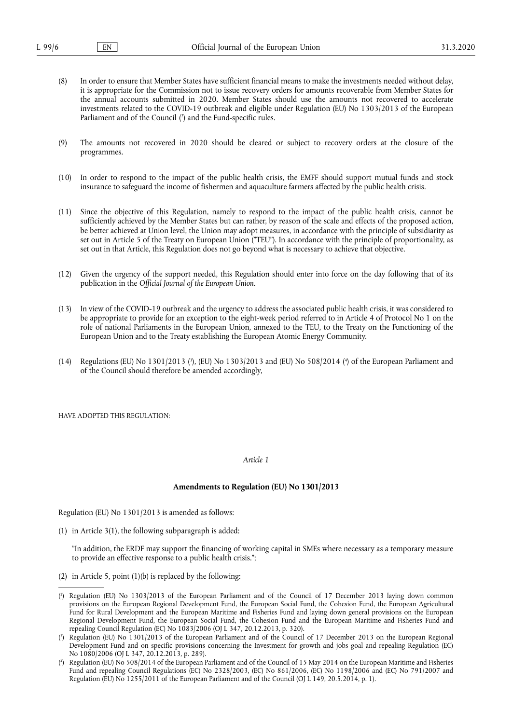- (8) In order to ensure that Member States have sufficient financial means to make the investments needed without delay, it is appropriate for the Commission not to issue recovery orders for amounts recoverable from Member States for the annual accounts submitted in 2020. Member States should use the amounts not recovered to accelerate investments related to the COVID-19 outbreak and eligible under Regulation (EU) No 1303/2013 of the European Parliament and of the Council ( 2 [\) and the Fund-specific rules.](#page-1-0)
- <span id="page-1-3"></span>(9) The amounts not recovered in 2020 should be cleared or subject to recovery orders at the closure of the programmes.
- (10) In order to respond to the impact of the public health crisis, the EMFF should support mutual funds and stock insurance to safeguard the income of fishermen and aquaculture farmers affected by the public health crisis.
- (11) Since the objective of this Regulation, namely to respond to the impact of the public health crisis, cannot be sufficiently achieved by the Member States but can rather, by reason of the scale and effects of the proposed action, be better achieved at Union level, the Union may adopt measures, in accordance with the principle of subsidiarity as set out in Article 5 of the Treaty on European Union ("TEU"). In accordance with the principle of proportionality, as set out in that Article, this Regulation does not go beyond what is necessary to achieve that objective.
- (12) Given the urgency of the support needed, this Regulation should enter into force on the day following that of its publication in the *Official Journal of the European Union*.
- (13) In view of the COVID-19 outbreak and the urgency to address the associated public health crisis, it was considered to be appropriate to provide for an exception to the eight-week period referred to in Article 4 of Protocol No 1 on the role of national Parliaments in the European Union, annexed to the TEU, to the Treaty on the Functioning of the European Union and to the Treaty establishing the European Atomic Energy Community.
- <span id="page-1-4"></span>(14) Regulations (EU) No 1301/2013 (?[\), \(EU\) No 1303/2013 and \(EU\) No 508/2014](#page-1-1) (\*[\) of the European Parliament and](#page-1-2) of the Council should therefore be amended accordingly,

HAVE ADOPTED THIS REGULATION:

*Article 1* 

### **Amendments to Regulation (EU) No 1301/2013**

Regulation (EU) No 1301/2013 is amended as follows:

(1) in Article 3(1), the following subparagraph is added:

"In addition, the ERDF may support the financing of working capital in SMEs where necessary as a temporary measure to provide an effective response to a public health crisis.";

(2) in Article 5, point (1)(b) is replaced by the following:

<span id="page-1-0"></span>[<sup>\(</sup>](#page-1-3) 2 ) Regulation (EU) No 1303/2013 of the European Parliament and of the Council of 17 December 2013 laying down common provisions on the European Regional Development Fund, the European Social Fund, the Cohesion Fund, the European Agricultural Fund for Rural Development and the European Maritime and Fisheries Fund and laying down general provisions on the European Regional Development Fund, the European Social Fund, the Cohesion Fund and the European Maritime and Fisheries Fund and repealing Council Regulation (EC) No 1083/2006 (OJ L 347, 20.12.2013, p. 320).

<span id="page-1-1"></span>[<sup>\(</sup>](#page-1-4) 3 ) Regulation (EU) No 1301/2013 of the European Parliament and of the Council of 17 December 2013 on the European Regional Development Fund and on specific provisions concerning the Investment for growth and jobs goal and repealing Regulation (EC) No  $10\overline{8}0/2006$  (OJ L 347, 20.12.2013, p. 289).

<span id="page-1-2"></span>[<sup>\(</sup>](#page-1-4) 4 ) Regulation (EU) No 508/2014 of the European Parliament and of the Council of 15 May 2014 on the European Maritime and Fisheries Fund and repealing Council Regulations (EC) No 2328/2003, (EC) No 861/2006, (EC) No 1198/2006 and (EC) No 791/2007 and Regulation (EU) No 1255/2011 of the European Parliament and of the Council (OJ L 149, 20.5.2014, p. 1).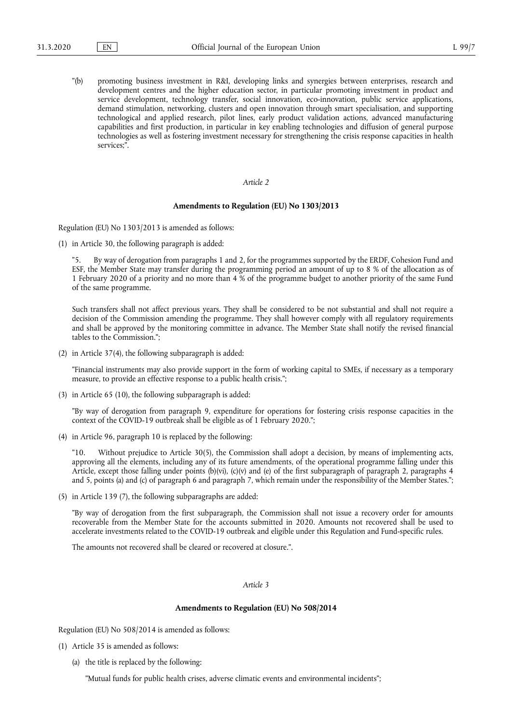"(b) promoting business investment in R&I, developing links and synergies between enterprises, research and development centres and the higher education sector, in particular promoting investment in product and service development, technology transfer, social innovation, eco-innovation, public service applications, demand stimulation, networking, clusters and open innovation through smart specialisation, and supporting technological and applied research, pilot lines, early product validation actions, advanced manufacturing capabilities and first production, in particular in key enabling technologies and diffusion of general purpose technologies as well as fostering investment necessary for strengthening the crisis response capacities in health services;".

#### *Article 2*

#### **Amendments to Regulation (EU) No 1303/2013**

Regulation (EU) No 1303/2013 is amended as follows:

(1) in Article 30, the following paragraph is added:

"5. By way of derogation from paragraphs 1 and 2, for the programmes supported by the ERDF, Cohesion Fund and ESF, the Member State may transfer during the programming period an amount of up to 8 % of the allocation as of 1 February 2020 of a priority and no more than 4 % of the programme budget to another priority of the same Fund of the same programme.

Such transfers shall not affect previous years. They shall be considered to be not substantial and shall not require a decision of the Commission amending the programme. They shall however comply with all regulatory requirements and shall be approved by the monitoring committee in advance. The Member State shall notify the revised financial tables to the Commission.";

(2) in Article 37(4), the following subparagraph is added:

"Financial instruments may also provide support in the form of working capital to SMEs, if necessary as a temporary measure, to provide an effective response to a public health crisis.";

(3) in Article 65 (10), the following subparagraph is added:

"By way of derogation from paragraph 9, expenditure for operations for fostering crisis response capacities in the context of the COVID-19 outbreak shall be eligible as of 1 February 2020.";

(4) in Article 96, paragraph 10 is replaced by the following:

"10. Without prejudice to Article 30(5), the Commission shall adopt a decision, by means of implementing acts, approving all the elements, including any of its future amendments, of the operational programme falling under this Article, except those falling under points (b)(vi), (c)(v) and (e) of the first subparagraph of paragraph 2, paragraphs 4 and 5, points (a) and (c) of paragraph 6 and paragraph 7, which remain under the responsibility of the Member States.";

(5) in Article 139 (7), the following subparagraphs are added:

"By way of derogation from the first subparagraph, the Commission shall not issue a recovery order for amounts recoverable from the Member State for the accounts submitted in 2020. Amounts not recovered shall be used to accelerate investments related to the COVID-19 outbreak and eligible under this Regulation and Fund-specific rules.

The amounts not recovered shall be cleared or recovered at closure.".

*Article 3* 

#### **Amendments to Regulation (EU) No 508/2014**

Regulation (EU) No 508/2014 is amended as follows:

- (1) Article 35 is amended as follows:
	- (a) the title is replaced by the following:

"Mutual funds for public health crises, adverse climatic events and environmental incidents";